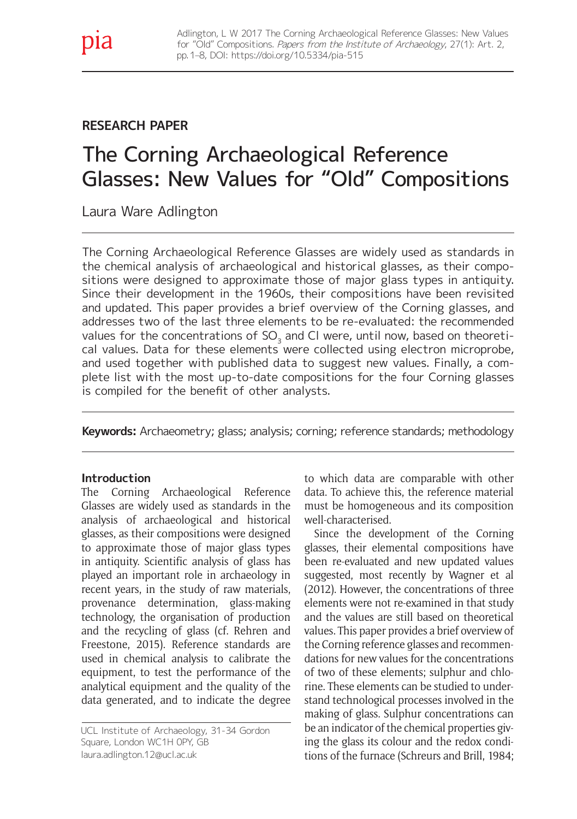## **RESEARCH PAPER**

# The Corning Archaeological Reference Glasses: New Values for "Old" Compositions

Laura Ware Adlington

The Corning Archaeological Reference Glasses are widely used as standards in the chemical analysis of archaeological and historical glasses, as their compositions were designed to approximate those of major glass types in antiquity. Since their development in the 1960s, their compositions have been revisited and updated. This paper provides a brief overview of the Corning glasses, and addresses two of the last three elements to be re-evaluated: the recommended values for the concentrations of  $SO<sub>3</sub>$  and CI were, until now, based on theoretical values. Data for these elements were collected using electron microprobe, and used together with published data to suggest new values. Finally, a complete list with the most up-to-date compositions for the four Corning glasses is compiled for the beneft of other analysts.

**Keywords:** Archaeometry; glass; analysis; corning; reference standards; methodology

#### **Introduction**

The Corning Archaeological Reference Glasses are widely used as standards in the analysis of archaeological and historical glasses, as their compositions were designed to approximate those of major glass types in antiquity. Scientific analysis of glass has played an important role in archaeology in recent years, in the study of raw materials, provenance determination, glass-making technology, the organisation of production and the recycling of glass (cf. Rehren and Freestone, 2015). Reference standards are used in chemical analysis to calibrate the equipment, to test the performance of the analytical equipment and the quality of the data generated, and to indicate the degree

UCL Institute of Archaeology, 31-34 Gordon Square, London WC1H 0PY, GB [laura.adlington.12@ucl.ac.uk](mailto:laura.adlington.12%40ucl.ac.uk)

to which data are comparable with other data. To achieve this, the reference material must be homogeneous and its composition well-characterised.

Since the development of the Corning glasses, their elemental compositions have been re-evaluated and new updated values suggested, most recently by Wagner et al (2012). However, the concentrations of three elements were not re-examined in that study and the values are still based on theoretical values. This paper provides a brief overview of the Corning reference glasses and recommendations for new values for the concentrations of two of these elements; sulphur and chlorine. These elements can be studied to understand technological processes involved in the making of glass. Sulphur concentrations can be an indicator of the chemical properties giving the glass its colour and the redox conditions of the furnace (Schreurs and Brill, 1984;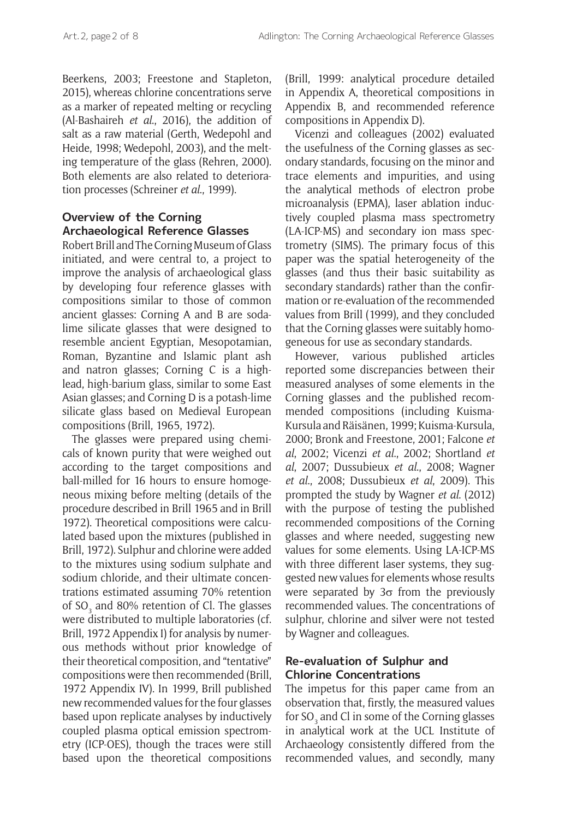Beerkens, 2003; Freestone and Stapleton, 2015), whereas chlorine concentrations serve as a marker of repeated melting or recycling (Al-Bashaireh *et al*., 2016), the addition of salt as a raw material (Gerth, Wedepohl and Heide, 1998; Wedepohl, 2003), and the melting temperature of the glass (Rehren, 2000). Both elements are also related to deterioration processes (Schreiner *et al*., 1999).

#### **Overview of the Corning Archaeological Reference Glasses**

Robert Brill and The Corning Museum of Glass initiated, and were central to, a project to improve the analysis of archaeological glass by developing four reference glasses with compositions similar to those of common ancient glasses: Corning A and B are sodalime silicate glasses that were designed to resemble ancient Egyptian, Mesopotamian, Roman, Byzantine and Islamic plant ash and natron glasses; Corning C is a highlead, high-barium glass, similar to some East Asian glasses; and Corning D is a potash-lime silicate glass based on Medieval European compositions (Brill, 1965, 1972).

The glasses were prepared using chemicals of known purity that were weighed out according to the target compositions and ball-milled for 16 hours to ensure homogeneous mixing before melting (details of the procedure described in Brill 1965 and in Brill 1972). Theoretical compositions were calculated based upon the mixtures (published in Brill, 1972). Sulphur and chlorine were added to the mixtures using sodium sulphate and sodium chloride, and their ultimate concentrations estimated assuming 70% retention of SO<sub>3</sub> and 80% retention of Cl. The glasses were distributed to multiple laboratories (cf. Brill, 1972 Appendix I) for analysis by numerous methods without prior knowledge of their theoretical composition, and "tentative" compositions were then recommended (Brill, 1972 Appendix IV). In 1999, Brill published new recommended values for the four glasses based upon replicate analyses by inductively coupled plasma optical emission spectrometry (ICP-OES), though the traces were still based upon the theoretical compositions

(Brill, 1999: analytical procedure detailed in Appendix A, theoretical compositions in Appendix B, and recommended reference compositions in Appendix D).

Vicenzi and colleagues (2002) evaluated the usefulness of the Corning glasses as secondary standards, focusing on the minor and trace elements and impurities, and using the analytical methods of electron probe microanalysis (EPMA), laser ablation inductively coupled plasma mass spectrometry (LA-ICP-MS) and secondary ion mass spectrometry (SIMS). The primary focus of this paper was the spatial heterogeneity of the glasses (and thus their basic suitability as secondary standards) rather than the confirmation or re-evaluation of the recommended values from Brill (1999), and they concluded that the Corning glasses were suitably homogeneous for use as secondary standards.

However, various published articles reported some discrepancies between their measured analyses of some elements in the Corning glasses and the published recommended compositions (including Kuisma-Kursula and Räisänen, 1999; Kuisma-Kursula, 2000; Bronk and Freestone, 2001; Falcone *et al*, 2002; Vicenzi *et al*., 2002; Shortland *et al*, 2007; Dussubieux *et al*., 2008; Wagner *et al*., 2008; Dussubieux *et al*, 2009). This prompted the study by Wagner *et al*. (2012) with the purpose of testing the published recommended compositions of the Corning glasses and where needed, suggesting new values for some elements. Using LA-ICP-MS with three different laser systems, they suggested new values for elements whose results were separated by  $3\sigma$  from the previously recommended values. The concentrations of sulphur, chlorine and silver were not tested by Wagner and colleagues.

### **Re-evaluation of Sulphur and Chlorine Concentrations**

The impetus for this paper came from an observation that, firstly, the measured values for SO<sub>3</sub> and Cl in some of the Corning glasses in analytical work at the UCL Institute of Archaeology consistently differed from the recommended values, and secondly, many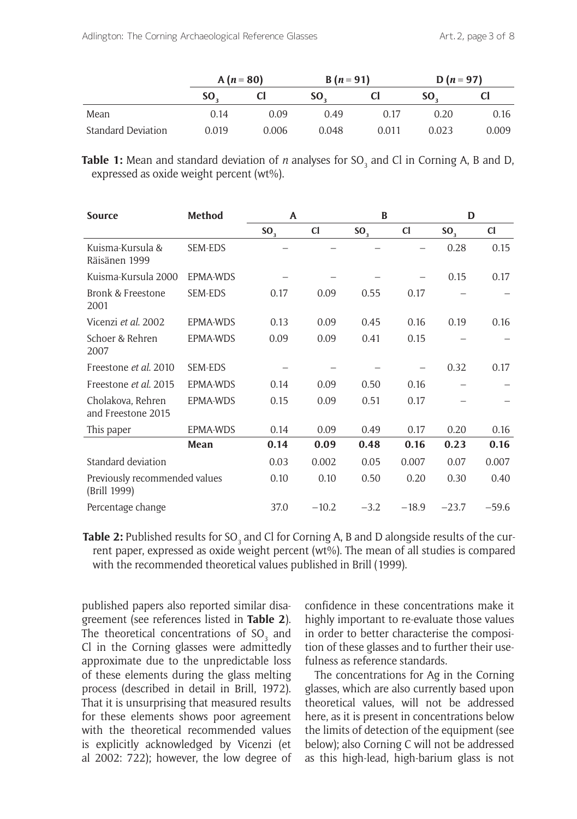|                           | $A(n=80)$ |       | $B(n=91)$ |       | $D(n=97)$ |           |  |
|---------------------------|-----------|-------|-----------|-------|-----------|-----------|--|
|                           | SO.       |       | <b>SO</b> | U     | SO.       | <b>CI</b> |  |
| Mean                      | 0.14      | 0.09  | 0.49      | 0.17  | 0.20      | 0.16      |  |
| <b>Standard Deviation</b> | 0.019     | 0.006 | 0.048     | 0.011 | 0.023     | 0.009     |  |

**Table 1:** Mean and standard deviation of *n* analyses for SO<sub>3</sub> and Cl in Corning A, B and D, expressed as oxide weight percent (wt%).

| <b>Source</b>                                 | <b>Method</b>  | A               |         | B               |             | D               |         |  |
|-----------------------------------------------|----------------|-----------------|---------|-----------------|-------------|-----------------|---------|--|
|                                               |                | SO <sub>3</sub> | C1      | SO <sub>3</sub> | $_{\rm cl}$ | SO <sub>3</sub> | C1      |  |
| Kuisma-Kursula &<br>Räisänen 1999             | SEM-EDS        |                 |         |                 |             | 0.28            | 0.15    |  |
| Kuisma-Kursula 2000                           | EPMA-WDS       |                 |         |                 |             | 0.15            | 0.17    |  |
| Bronk & Freestone<br>2001                     | <b>SEM-EDS</b> | 0.17            | 0.09    | 0.55            | 0.17        |                 |         |  |
| Vicenzi et al. 2002                           | EPMA-WDS       | 0.13            | 0.09    | 0.45            | 0.16        | 0.19            | 0.16    |  |
| Schoer & Rehren<br>2007                       | EPMA-WDS       | 0.09            | 0.09    | 0.41            | 0.15        |                 |         |  |
| Freestone et al. 2010                         | <b>SEM-EDS</b> |                 |         |                 |             | 0.32            | 0.17    |  |
| Freestone et al. 2015                         | EPMA-WDS       | 0.14            | 0.09    | 0.50            | 0.16        |                 |         |  |
| Cholakova, Rehren<br>and Freestone 2015       | EPMA-WDS       | 0.15            | 0.09    | 0.51            | 0.17        |                 |         |  |
| This paper                                    | EPMA-WDS       | 0.14            | 0.09    | 0.49            | 0.17        | 0.20            | 0.16    |  |
|                                               | Mean           | 0.14            | 0.09    | 0.48            | 0.16        | 0.23            | 0.16    |  |
| Standard deviation                            |                | 0.03            | 0.002   | 0.05            | 0.007       | 0.07            | 0.007   |  |
| Previously recommended values<br>(Brill 1999) |                | 0.10            | 0.10    | 0.50            | 0.20        | 0.30            | 0.40    |  |
| Percentage change                             |                | 37.0            | $-10.2$ | $-3.2$          | $-18.9$     | $-23.7$         | $-59.6$ |  |

**Table 2:** Published results for SO<sub>3</sub> and Cl for Corning A, B and D alongside results of the current paper, expressed as oxide weight percent (wt%). The mean of all studies is compared with the recommended theoretical values published in Brill (1999).

published papers also reported similar disagreement (see references listed in **Table 2**). The theoretical concentrations of  ${SO_3}$  and Cl in the Corning glasses were admittedly approximate due to the unpredictable loss of these elements during the glass melting process (described in detail in Brill, 1972). That it is unsurprising that measured results for these elements shows poor agreement with the theoretical recommended values is explicitly acknowledged by Vicenzi (et al 2002: 722); however, the low degree of

confidence in these concentrations make it highly important to re-evaluate those values in order to better characterise the composition of these glasses and to further their usefulness as reference standards.

The concentrations for Ag in the Corning glasses, which are also currently based upon theoretical values, will not be addressed here, as it is present in concentrations below the limits of detection of the equipment (see below); also Corning C will not be addressed as this high-lead, high-barium glass is not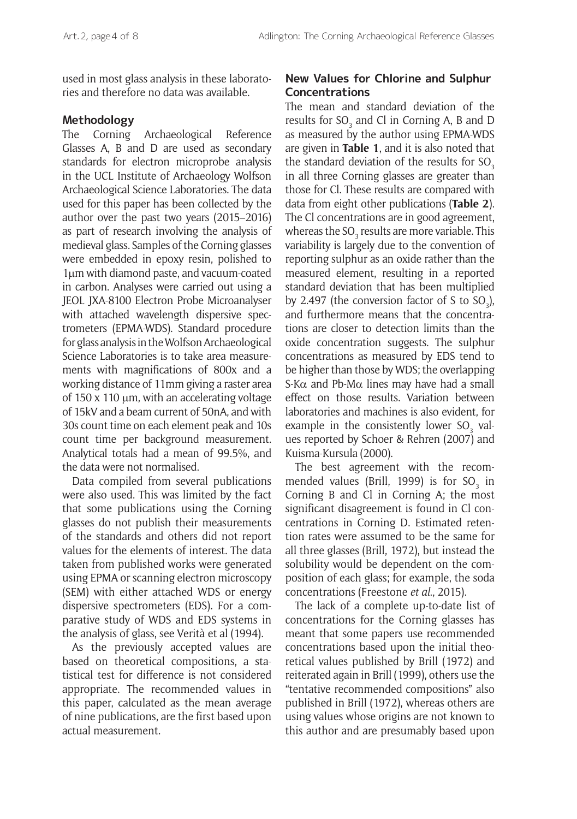used in most glass analysis in these laboratories and therefore no data was available.

#### **Methodology**

The Corning Archaeological Reference Glasses A, B and D are used as secondary standards for electron microprobe analysis in the UCL Institute of Archaeology Wolfson Archaeological Science Laboratories. The data used for this paper has been collected by the author over the past two years (2015–2016) as part of research involving the analysis of medieval glass. Samples of the Corning glasses were embedded in epoxy resin, polished to 1μm with diamond paste, and vacuum-coated in carbon. Analyses were carried out using a JEOL JXA-8100 Electron Probe Microanalyser with attached wavelength dispersive spectrometers (EPMA-WDS). Standard procedure for glass analysis in the Wolfson Archaeological Science Laboratories is to take area measurements with magnifications of 800x and a working distance of 11mm giving a raster area of 150 x 110 μm, with an accelerating voltage of 15kV and a beam current of 50nA, and with 30s count time on each element peak and 10s count time per background measurement. Analytical totals had a mean of 99.5%, and the data were not normalised.

Data compiled from several publications were also used. This was limited by the fact that some publications using the Corning glasses do not publish their measurements of the standards and others did not report values for the elements of interest. The data taken from published works were generated using EPMA or scanning electron microscopy (SEM) with either attached WDS or energy dispersive spectrometers (EDS). For a comparative study of WDS and EDS systems in the analysis of glass, see Verità et al (1994).

As the previously accepted values are based on theoretical compositions, a statistical test for difference is not considered appropriate. The recommended values in this paper, calculated as the mean average of nine publications, are the first based upon actual measurement.

#### **New Values for Chlorine and Sulphur Concentrations**

The mean and standard deviation of the results for  ${SO_3}$  and Cl in Corning A, B and D as measured by the author using EPMA-WDS are given in **Table 1**, and it is also noted that the standard deviation of the results for  $SO<sub>3</sub>$ in all three Corning glasses are greater than those for Cl. These results are compared with data from eight other publications (**Table 2**). The Cl concentrations are in good agreement, whereas the SO $_{_3}$  results are more variable. This variability is largely due to the convention of reporting sulphur as an oxide rather than the measured element, resulting in a reported standard deviation that has been multiplied by 2.497 (the conversion factor of S to  $SO_3$ ), and furthermore means that the concentrations are closer to detection limits than the oxide concentration suggests. The sulphur concentrations as measured by EDS tend to be higher than those by WDS; the overlapping S-K $\alpha$  and Pb-M $\alpha$  lines may have had a small effect on those results. Variation between laboratories and machines is also evident, for example in the consistently lower  $\mathrm{SO}_3^{\phantom '}$  values reported by Schoer & Rehren (2007) and Kuisma-Kursula (2000).

The best agreement with the recommended values (Brill, 1999) is for  ${SO_3}$  in Corning B and Cl in Corning A; the most significant disagreement is found in Cl concentrations in Corning D. Estimated retention rates were assumed to be the same for all three glasses (Brill, 1972), but instead the solubility would be dependent on the composition of each glass; for example, the soda concentrations (Freestone *et al*., 2015).

The lack of a complete up-to-date list of concentrations for the Corning glasses has meant that some papers use recommended concentrations based upon the initial theoretical values published by Brill (1972) and reiterated again in Brill (1999), others use the "tentative recommended compositions" also published in Brill (1972), whereas others are using values whose origins are not known to this author and are presumably based upon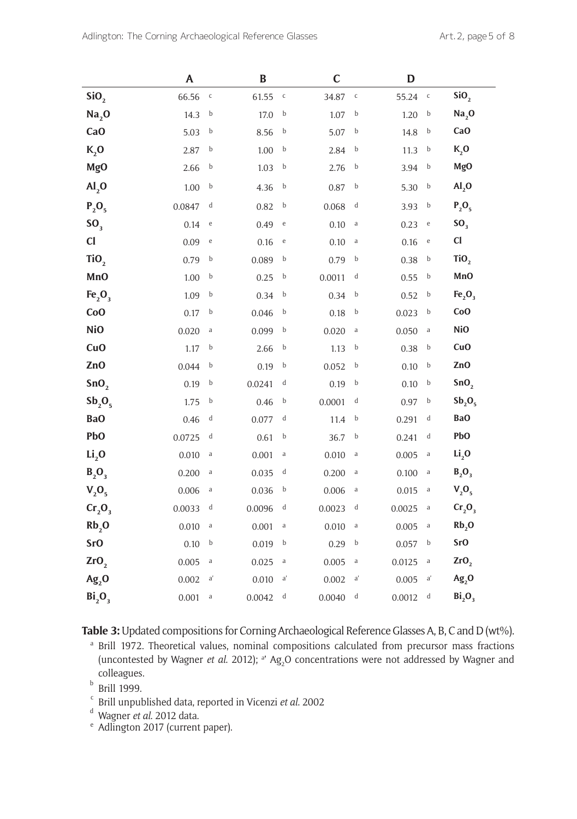|                                | A      |                                   | $\bf{B}$ |                                       | $\mathbf C$ |              | D      |                                       |                                 |
|--------------------------------|--------|-----------------------------------|----------|---------------------------------------|-------------|--------------|--------|---------------------------------------|---------------------------------|
| SiO <sub>2</sub>               | 66.56  | $\mathsf{C}$                      | 61.55    | $\,$ C                                | 34.87       | $\mathsf{C}$ | 55.24  | $\mathsf C$                           | SiO <sub>2</sub>                |
| Na <sub>2</sub> O              | 14.3   | b                                 | 17.0     | b                                     | 1.07        | b            | 1.20   | b                                     | Na <sub>2</sub> O               |
| Ca <sub>O</sub>                | 5.03   | $\mathbf b$                       | 8.56     | b                                     | 5.07        | b            | 14.8   | b                                     | Ca <sub>O</sub>                 |
| $K2$ O                         | 2.87   | $\mathbf b$                       | 1.00     | b                                     | 2.84        | b            | 11.3   | b                                     | $K_2$ O                         |
| <b>MgO</b>                     | 2.66   | b                                 | 1.03     | b                                     | 2.76        | b            | 3.94   | b                                     | MgO                             |
| AI <sub>2</sub> O              | 1.00   | b                                 | 4.36     | b                                     | 0.87        | b            | 5.30   | b                                     | AI <sub>2</sub> O               |
| $P_2O_5$                       | 0.0847 | d                                 | 0.82     | b                                     | 0.068       | d            | 3.93   | b                                     | $P_2O_5$                        |
| SO <sub>3</sub>                | 0.14   | $\mathbf{e}$                      | 0.49     | $\mathsf{e}% _{t}\left( t_{0}\right)$ | 0.10        | $\rm{a}$     | 0.23   | $\mathbf{e}% _{t}\left( t_{0}\right)$ | SO <sub>3</sub>                 |
| C1                             | 0.09   | $\mathsf{e}% _{t}\left( t\right)$ | 0.16     | $\mathsf{e}% _{t}\left( t_{0}\right)$ | 0.10        | $\rm{a}$     | 0.16   | $\rm e$                               | C1                              |
| TiO <sub>2</sub>               | 0.79   | b                                 | 0.089    | b                                     | 0.79        | b            | 0.38   | b                                     | TiO <sub>2</sub>                |
| MnO                            | 1.00   | b                                 | 0.25     | b                                     | 0.0011      | d            | 0.55   | b                                     | MnO                             |
| Fe <sub>2</sub> O <sub>3</sub> | 1.09   | $\mathbf b$                       | 0.34     | b                                     | 0.34        | b            | 0.52   | b                                     | Fe <sub>2</sub> O <sub>3</sub>  |
| CoO                            | 0.17   | b                                 | 0.046    | b                                     | 0.18        | b            | 0.023  | b                                     | CoO                             |
| <b>NiO</b>                     | 0.020  | $\rm{a}$                          | 0.099    | b                                     | 0.020       | $\mathsf{a}$ | 0.050  | $\rm{a}$                              | <b>NiO</b>                      |
| CuO                            | 1.17   | b                                 | 2.66     | b                                     | 1.13        | b            | 0.38   | b                                     | CuO                             |
| Zn <sub>O</sub>                | 0.044  | b                                 | 0.19     | b                                     | 0.052       | b            | 0.10   | b                                     | ZnO                             |
| SnO <sub>2</sub>               | 0.19   | b                                 | 0.0241   | d                                     | 0.19        | b            | 0.10   | b                                     | SnO <sub>2</sub>                |
| Sb <sub>2</sub> O <sub>5</sub> | 1.75   | b                                 | 0.46     | b                                     | 0.0001      | d            | 0.97   | b                                     | $\mathbf{Sb}_{2}\mathbf{O}_{5}$ |
| BaO                            | 0.46   | d                                 | 0.077    | d                                     | 11.4        | b            | 0.291  | d                                     | <b>BaO</b>                      |
| PbO                            | 0.0725 | d                                 | 0.61     | b                                     | 36.7        | b            | 0.241  | d                                     | PbO                             |
| $Li$ <sub>,0</sub>             | 0.010  | $\rm{a}$                          | 0.001    | a                                     | 0.010       | $\rm{a}$     | 0.005  | $\rm{a}$                              | Li <sub>2</sub> O               |
| $B_2O_3$                       | 0.200  | a                                 | 0.035    | d                                     | 0.200       | a            | 0.100  | a                                     | $B_2O_3$                        |
| $V_2O_5$                       | 0.006  | a                                 | 0.036    | b                                     | 0.006       | $\rm{a}$     | 0.015  | a                                     | $V_2O_5$                        |
| $Cr_2O_3$                      | 0.0033 | d                                 | 0.0096   | d                                     | 0.0023      | d            | 0.0025 | a                                     | Cr <sub>2</sub> O <sub>3</sub>  |
| Rb,0                           | 0.010  | $\rm{a}$                          | 0.001    | a                                     | 0.010       | $\rm{a}$     | 0.005  | a                                     | Rb <sub>2</sub> O               |
| <b>SrO</b>                     | 0.10   | b                                 | 0.019    | b                                     | 0.29        | b            | 0.057  | b                                     | <b>SrO</b>                      |
| ZrO <sub>2</sub>               | 0.005  | $\rm{a}$                          | 0.025    | $\rm{a}$                              | 0.005       | a            | 0.0125 | a                                     | ZrO <sub>2</sub>                |
| $Ag_2O$                        | 0.002  | a'                                | 0.010    | a'                                    | 0.002       | a'           | 0.005  | a'                                    | $Ag_2O$                         |
| Bi <sub>2</sub> O <sub>3</sub> | 0.001  | a                                 | 0.0042   | d                                     | 0.0040      | d            | 0.0012 | d                                     | Bi <sub>2</sub> O <sub>3</sub>  |

**Table 3:** Updated compositions for Corning Archaeological Reference Glasses A, B, C and D (wt%).

<sup>a</sup> Brill 1972. Theoretical values, nominal compositions calculated from precursor mass fractions (uncontested by Wagner *et al.* 2012); <sup>a</sup>' Ag<sub>2</sub>O concentrations were not addressed by Wagner and colleagues.

 $b$  Brill 1999.

- <sup>c</sup> Brill unpublished data, reported in Vicenzi *et al*. 2002
- <sup>d</sup> Wagner *et al*. 2012 data.
- <sup>e</sup> Adlington 2017 (current paper).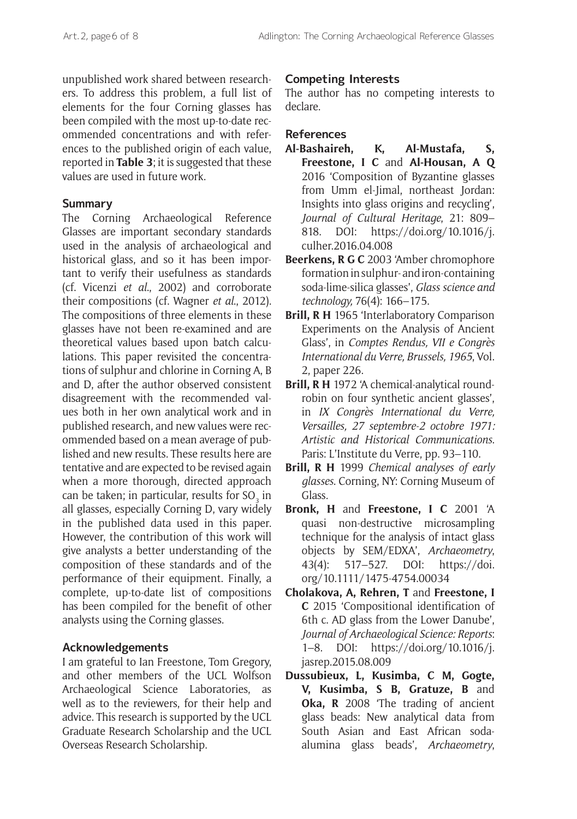unpublished work shared between researchers. To address this problem, a full list of elements for the four Corning glasses has been compiled with the most up-to-date recommended concentrations and with references to the published origin of each value, reported in **Table 3**; it is suggested that these values are used in future work.

#### **Summary**

The Corning Archaeological Reference Glasses are important secondary standards used in the analysis of archaeological and historical glass, and so it has been important to verify their usefulness as standards (cf. Vicenzi *et al*., 2002) and corroborate their compositions (cf. Wagner *et al*., 2012). The compositions of three elements in these glasses have not been re-examined and are theoretical values based upon batch calculations. This paper revisited the concentrations of sulphur and chlorine in Corning A, B and D, after the author observed consistent disagreement with the recommended values both in her own analytical work and in published research, and new values were recommended based on a mean average of published and new results. These results here are tentative and are expected to be revised again when a more thorough, directed approach can be taken; in particular, results for SO $_{_3}$  in all glasses, especially Corning D, vary widely in the published data used in this paper. However, the contribution of this work will give analysts a better understanding of the composition of these standards and of the performance of their equipment. Finally, a complete, up-to-date list of compositions has been compiled for the benefit of other analysts using the Corning glasses.

### **Acknowledgements**

I am grateful to Ian Freestone, Tom Gregory, and other members of the UCL Wolfson Archaeological Science Laboratories, as well as to the reviewers, for their help and advice. This research is supported by the UCL Graduate Research Scholarship and the UCL Overseas Research Scholarship.

#### **Competing Interests**

The author has no competing interests to declare.

#### **References**

- **Al-Bashaireh, K, Al-Mustafa, S, Freestone, I C** and **Al-Housan, A Q**  2016 'Composition of Byzantine glasses from Umm el-Jimal, northeast Jordan: Insights into glass origins and recycling', *Journal of Cultural Heritage*, 21: 809– 818. DOI: [https://doi.org/10.1016/j.](https://doi.org/10.1016/j.culher.2016.04.008) [culher.2016.04.008](https://doi.org/10.1016/j.culher.2016.04.008)
- **Beerkens, R G C** 2003 'Amber chromophore formation in sulphur- and iron-containing soda-lime-silica glasses', *Glass science and technology,* 76(4): 166–175.
- **Brill, R H** 1965 'Interlaboratory Comparison Experiments on the Analysis of Ancient Glass', in *Comptes Rendus, VII e Congrès International du Verre, Brussels, 1965*, Vol. 2, paper 226.
- **Brill, R H** 1972 'A chemical-analytical roundrobin on four synthetic ancient glasses', in *IX Congrès International du Verre, Versailles, 27 septembre-2 octobre 1971: Artistic and Historical Communications*. Paris: L'Institute du Verre, pp. 93–110.
- **Brill, R H** 1999 *Chemical analyses of early glasses*. Corning, NY: Corning Museum of Glass.
- **Bronk, H** and **Freestone, I C** 2001 'A quasi non-destructive microsampling technique for the analysis of intact glass objects by SEM/EDXA', *Archaeometry*, 43(4): 517–527. DOI: [https://doi.](https://doi.org/10.1111/1475-4754.00034) [org/10.1111/1475-4754.00034](https://doi.org/10.1111/1475-4754.00034)
- **Cholakova, A, Rehren, T** and **Freestone, I C** 2015 'Compositional identification of 6th c. AD glass from the Lower Danube', *Journal of Archaeological Science: Reports*: 1–8. DOI: [https://doi.org/10.1016/j.](https://doi.org/10.1016/j.jasrep.2015.08.009) [jasrep.2015.08.009](https://doi.org/10.1016/j.jasrep.2015.08.009)
- **Dussubieux, L, Kusimba, C M, Gogte, V, Kusimba, S B, Gratuze, B** and **Oka, R** 2008 'The trading of ancient glass beads: New analytical data from South Asian and East African sodaalumina glass beads', *Archaeometry*,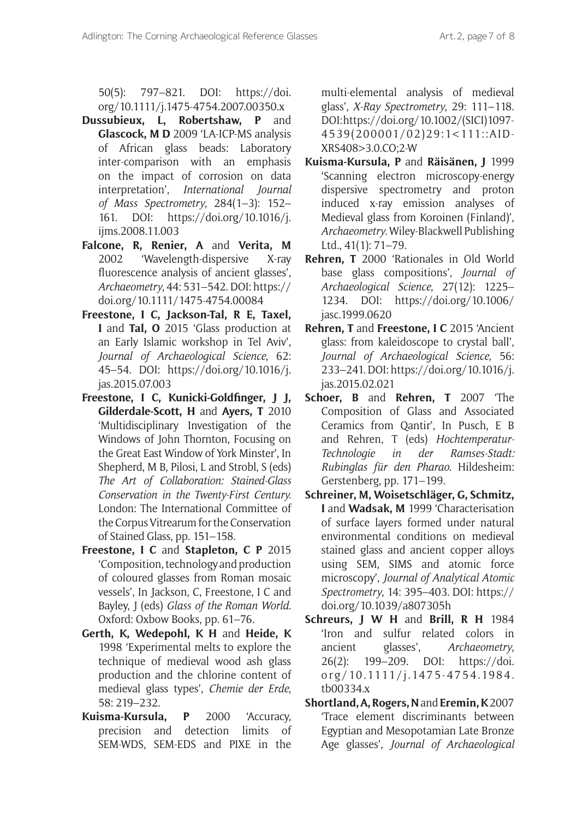50(5): 797–821. DOI: [https://doi.](https://doi.org/10.1111/j.1475-4754.2007.00350.x%0D) [org/10.1111/j.1475-4754.2007.00350.x](https://doi.org/10.1111/j.1475-4754.2007.00350.x%0D)

- **Dussubieux, L, Robertshaw, P** and **Glascock, M D** 2009 'LA-ICP-MS analysis of African glass beads: Laboratory inter-comparison with an emphasis on the impact of corrosion on data interpretation', *International Journal of Mass Spectrometry*, 284(1–3): 152– 161. DOI: [https://doi.org/10.1016/j.](https://doi.org/10.1016/j.ijms.2008.11.003) [ijms.2008.11.003](https://doi.org/10.1016/j.ijms.2008.11.003)
- **Falcone, R, Renier, A** and **Verita, M** 2002 'Wavelength-dispersive X-ray fluorescence analysis of ancient glasses', *Archaeometry*, 44: 531–542. DOI: [https://](https://doi.org/10.1111/1475-4754.00084) [doi.org/10.1111/1475-4754.00084](https://doi.org/10.1111/1475-4754.00084)
- **Freestone, I C, Jackson-Tal, R E, Taxel, I** and **Tal, O** 2015 'Glass production at an Early Islamic workshop in Tel Aviv', *Journal of Archaeological Science*, 62: 45–54. DOI: [https://doi.org/10.1016/j.](https://doi.org/10.1016/j.jas.2015.07.003) [jas.2015.07.003](https://doi.org/10.1016/j.jas.2015.07.003)
- **Freestone, I C, Kunicki-Goldfnger, J J, Gilderdale-Scott, H** and **Ayers, T** 2010 'Multidisciplinary Investigation of the Windows of John Thornton, Focusing on the Great East Window of York Minster', In Shepherd, M B, Pilosi, L and Strobl, S (eds) *The Art of Collaboration: Stained-Glass Conservation in the Twenty-First Century.*  London: The International Committee of the Corpus Vitrearum for the Conservation of Stained Glass, pp. 151–158.
- **Freestone, I C** and **Stapleton, C P** 2015 'Composition, technology and production of coloured glasses from Roman mosaic vessels', In Jackson, C, Freestone, I C and Bayley, J (eds) *Glass of the Roman World*. Oxford: Oxbow Books, pp. 61–76.
- **Gerth, K, Wedepohl, K H** and **Heide, K** 1998 'Experimental melts to explore the technique of medieval wood ash glass production and the chlorine content of medieval glass types', *Chemie der Erde*, 58: 219–232.
- **Kuisma-Kursula, P** 2000 'Accuracy, precision and detection limits of SEM-WDS, SEM-EDS and PIXE in the

multi-elemental analysis of medieval glass', *X-Ray Spectrometry*, 29: 111–118. DOI: [https://doi.org/10.1002/\(SICI\)1097-](https://doi.org/10.1002/%28SICI%291097-4539%28200001/02%2929:1%3C111::AID-XRS408%3E3.0.CO%3B2-W) [4539\(200001/02\)29:1<111::AID-](https://doi.org/10.1002/%28SICI%291097-4539%28200001/02%2929:1%3C111::AID-XRS408%3E3.0.CO%3B2-W)[XRS408>3.0.CO;2-W](https://doi.org/10.1002/%28SICI%291097-4539%28200001/02%2929:1%3C111::AID-XRS408%3E3.0.CO%3B2-W)

- **Kuisma-Kursula, P** and **Räisänen, J** 1999 'Scanning electron microscopy-energy dispersive spectrometry and proton induced x-ray emission analyses of Medieval glass from Koroinen (Finland)', *Archaeometry*. Wiley-Blackwell Publishing Ltd., 41(1): 71–79.
- **Rehren, T** 2000 'Rationales in Old World base glass compositions', *Journal of Archaeological Science*, 27(12): 1225– 1234. DOI: [https://doi.org/10.1006/](https://doi.org/10.1006/jasc.1999.0620) [jasc.1999.0620](https://doi.org/10.1006/jasc.1999.0620)
- **Rehren, T** and **Freestone, I C** 2015 'Ancient glass: from kaleidoscope to crystal ball', *Journal of Archaeological Science*, 56: 233–241. DOI: [https://doi.org/10.1016/j.](https://doi.org/10.1016/j.jas.2015.02.021) [jas.2015.02.021](https://doi.org/10.1016/j.jas.2015.02.021)
- **Schoer, B** and **Rehren, T** 2007 'The Composition of Glass and Associated Ceramics from Qantir', In Pusch, E B and Rehren, T (eds) *Hochtemperatur-Technologie in der Ramses-Stadt: Rubinglas für den Pharao*. Hildesheim: Gerstenberg, pp. 171–199.
- **Schreiner, M, Woisetschläger, G, Schmitz, I** and **Wadsak, M** 1999 'Characterisation of surface layers formed under natural environmental conditions on medieval stained glass and ancient copper alloys using SEM, SIMS and atomic force microscopy', *Journal of Analytical Atomic Spectrometry*, 14: 395–403. DOI: [https://](https://doi.org/10.1039/A807305H) [doi.org/10.1039/a807305](https://doi.org/10.1039/A807305H)h
- **Schreurs, J W H** and **Brill, R H** 1984 'Iron and sulfur related colors in ancient glasses', *Archaeometry*, 26(2): 199–209. DOI: [https://doi.](https://doi.org/10.1111/j.1475-4754.1984.tb00334.x) [org/10.1111/j.1475-4754.1984.](https://doi.org/10.1111/j.1475-4754.1984.tb00334.x) [tb00334.x](https://doi.org/10.1111/j.1475-4754.1984.tb00334.x)
- **Shortland, A, Rogers, N** and **Eremin, K** 2007 'Trace element discriminants between Egyptian and Mesopotamian Late Bronze Age glasses', *Journal of Archaeological*